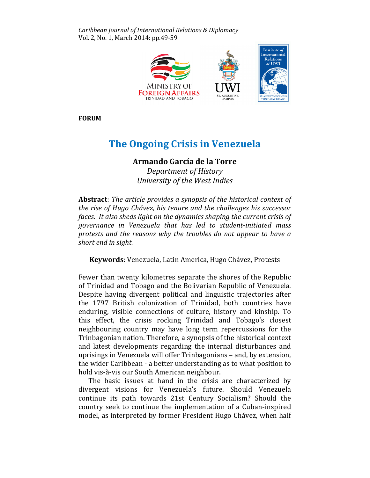Caribbean Journal of International Relations & Diplomacy Vol. 2, No. 1, March 2014: pp.49-59



FORUM

# The Ongoing Crisis in Venezuela

## Armando García de la Torre

Department of History University of the West Indies

Abstract: The article provides a synopsis of the historical context of the rise of Hugo Chávez, his tenure and the challenges his successor faces. It also sheds light on the dynamics shaping the current crisis of governance in Venezuela that has led to student-initiated mass protests and the reasons why the troubles do not appear to have a short end in sight.

Keywords: Venezuela, Latin America, Hugo Chávez, Protests

Fewer than twenty kilometres separate the shores of the Republic of Trinidad and Tobago and the Bolivarian Republic of Venezuela. Despite having divergent political and linguistic trajectories after the 1797 British colonization of Trinidad, both countries have enduring, visible connections of culture, history and kinship. To this effect, the crisis rocking Trinidad and Tobago's closest neighbouring country may have long term repercussions for the Trinbagonian nation. Therefore, a synopsis of the historical context and latest developments regarding the internal disturbances and uprisings in Venezuela will offer Trinbagonians – and, by extension, the wider Caribbean - a better understanding as to what position to hold vis-à-vis our South American neighbour.

The basic issues at hand in the crisis are characterized by divergent visions for Venezuela's future. Should Venezuela continue its path towards 21st Century Socialism? Should the country seek to continue the implementation of a Cuban-inspired model, as interpreted by former President Hugo Chávez, when half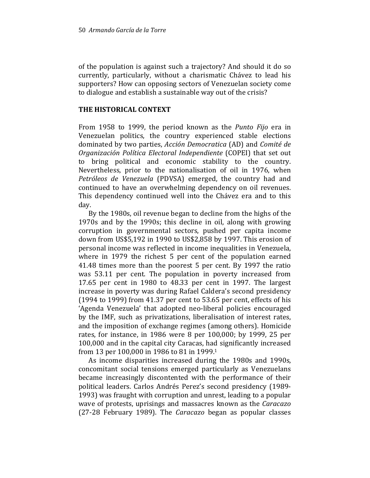of the population is against such a trajectory? And should it do so currently, particularly, without a charismatic Chávez to lead his supporters? How can opposing sectors of Venezuelan society come to dialogue and establish a sustainable way out of the crisis?

### THE HISTORICAL CONTEXT

From 1958 to 1999, the period known as the Punto Fijo era in Venezuelan politics, the country experienced stable elections dominated by two parties, Acción Democratica (AD) and Comité de Organización Política Electoral Independiente (COPEI) that set out to bring political and economic stability to the country. Nevertheless, prior to the nationalisation of oil in 1976, when Petróleos de Venezuela (PDVSA) emerged, the country had and continued to have an overwhelming dependency on oil revenues. This dependency continued well into the Chávez era and to this day.

By the 1980s, oil revenue began to decline from the highs of the 1970s and by the 1990s; this decline in oil, along with growing corruption in governmental sectors, pushed per capita income down from US\$5,192 in 1990 to US\$2,858 by 1997. This erosion of personal income was reflected in income inequalities in Venezuela, where in 1979 the richest 5 per cent of the population earned 41.48 times more than the poorest 5 per cent. By 1997 the ratio was 53.11 per cent. The population in poverty increased from 17.65 per cent in 1980 to 48.33 per cent in 1997. The largest increase in poverty was during Rafael Caldera's second presidency (1994 to 1999) from 41.37 per cent to 53.65 per cent, effects of his 'Agenda Venezuela' that adopted neo-liberal policies encouraged by the IMF, such as privatizations, liberalisation of interest rates, and the imposition of exchange regimes (among others). Homicide rates, for instance, in 1986 were 8 per 100,000; by 1999, 25 per 100,000 and in the capital city Caracas, had significantly increased from 13 per 100,000 in 1986 to 81 in 1999.<sup>1</sup>

As income disparities increased during the 1980s and 1990s, concomitant social tensions emerged particularly as Venezuelans became increasingly discontented with the performance of their political leaders. Carlos Andrés Perez's second presidency (1989- 1993) was fraught with corruption and unrest, leading to a popular wave of protests, uprisings and massacres known as the Caracazo (27-28 February 1989). The Caracazo began as popular classes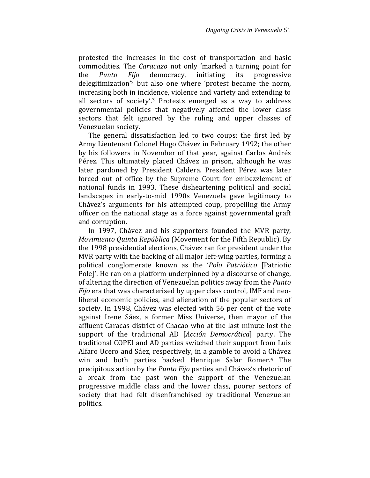protested the increases in the cost of transportation and basic commodities. The Caracazo not only 'marked a turning point for the Punto Fijo democracy, initiating its progressive delegitimization'2 but also one where 'protest became the norm, increasing both in incidence, violence and variety and extending to all sectors of society'.3 Protests emerged as a way to address governmental policies that negatively affected the lower class sectors that felt ignored by the ruling and upper classes of Venezuelan society.

The general dissatisfaction led to two coups: the first led by Army Lieutenant Colonel Hugo Chávez in February 1992; the other by his followers in November of that year, against Carlos Andrés Pérez. This ultimately placed Chávez in prison, although he was later pardoned by President Caldera. President Pérez was later forced out of office by the Supreme Court for embezzlement of national funds in 1993. These disheartening political and social landscapes in early-to-mid 1990s Venezuela gave legitimacy to Chávez's arguments for his attempted coup, propelling the Army officer on the national stage as a force against governmental graft and corruption.

In 1997, Chávez and his supporters founded the MVR party, Movimiento Quinta República (Movement for the Fifth Republic). By the 1998 presidential elections, Chávez ran for president under the MVR party with the backing of all major left-wing parties, forming a political conglomerate known as the 'Polo Patriótico [Patriotic Pole]'. He ran on a platform underpinned by a discourse of change, of altering the direction of Venezuelan politics away from the Punto Fijo era that was characterised by upper class control, IMF and neoliberal economic policies, and alienation of the popular sectors of society. In 1998, Chávez was elected with 56 per cent of the vote against Irene Sáez, a former Miss Universe, then mayor of the affluent Caracas district of Chacao who at the last minute lost the support of the traditional AD [Acción Democrática] party. The traditional COPEI and AD parties switched their support from Luis Alfaro Ucero and Sáez, respectively, in a gamble to avoid a Chávez win and both parties backed Henrique Salar Romer.4 The precipitous action by the Punto Fijo parties and Chávez's rhetoric of a break from the past won the support of the Venezuelan progressive middle class and the lower class, poorer sectors of society that had felt disenfranchised by traditional Venezuelan politics.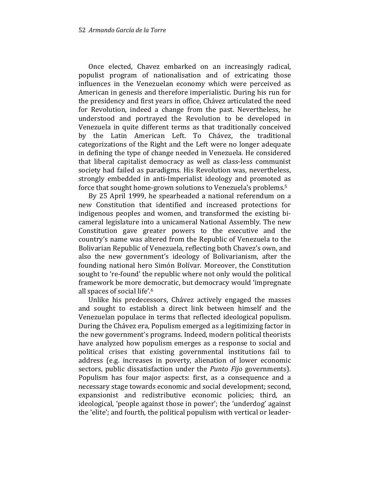Once elected, Chavez embarked on an increasingly radical, populist program of nationalisation and of extricating those influences in the Venezuelan economy which were perceived as American in genesis and therefore imperialistic. During his run for the presidency and first years in office, Chávez articulated the need for Revolution, indeed a change from the past. Nevertheless, he understood and portrayed the Revolution to be developed in Venezuela in quite different terms as that traditionally conceived by the Latin American Left. To Chávez, the traditional categorizations of the Right and the Left were no longer adequate in defining the type of change needed in Venezuela. He considered that liberal capitalist democracy as well as class-less communist society had failed as paradigms. His Revolution was, nevertheless, strongly embedded in anti-Imperialist ideology and promoted as force that sought home-grown solutions to Venezuela's problems.<sup>5</sup>

By 25 April 1999, he spearheaded a national referendum on a new Constitution that identified and increased protections for indigenous peoples and women, and transformed the existing bicameral legislature into a unicameral National Assembly. The new Constitution gave greater powers to the executive and the country's name was altered from the Republic of Venezuela to the Bolivarian Republic of Venezuela, reflecting both Chavez's own, and also the new government's ideology of Bolivarianism, after the founding national hero Simón Bolívar. Moreover, the Constitution sought to 're-found' the republic where not only would the political framework be more democratic, but democracy would 'impregnate all spaces of social life'.<sup>6</sup>

Unlike his predecessors, Chávez actively engaged the masses and sought to establish a direct link between himself and the Venezuelan populace in terms that reflected ideological populism. During the Chávez era, Populism emerged as a legitimizing factor in the new government's programs. Indeed, modern political theorists have analyzed how populism emerges as a response to social and political crises that existing governmental institutions fail to address (e.g. increases in poverty, alienation of lower economic sectors, public dissatisfaction under the *Punto Fijo* governments). Populism has four major aspects: first, as a consequence and a necessary stage towards economic and social development; second, expansionist and redistributive economic policies; third, an ideological, 'people against those in power'; the 'underdog' against the 'elite'; and fourth, the political populism with vertical or leader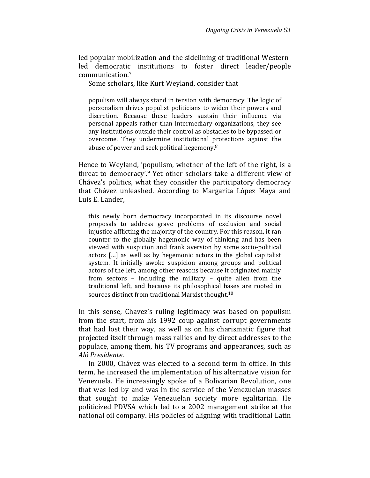led popular mobilization and the sidelining of traditional Westernled democratic institutions to foster direct leader/people communication.<sup>7</sup>

Some scholars, like Kurt Weyland, consider that

populism will always stand in tension with democracy. The logic of personalism drives populist politicians to widen their powers and discretion. Because these leaders sustain their influence via personal appeals rather than intermediary organizations, they see any institutions outside their control as obstacles to be bypassed or overcome. They undermine institutional protections against the abuse of power and seek political hegemony.<sup>8</sup>

Hence to Weyland, 'populism, whether of the left of the right, is a threat to democracy'.9 Yet other scholars take a different view of Chávez's politics, what they consider the participatory democracy that Chávez unleashed. According to Margarita López Maya and Luis E. Lander,

this newly born democracy incorporated in its discourse novel proposals to address grave problems of exclusion and social injustice afflicting the majority of the country. For this reason, it ran counter to the globally hegemonic way of thinking and has been viewed with suspicion and frank aversion by some socio-political actors […] as well as by hegemonic actors in the global capitalist system. It initially awoke suspicion among groups and political actors of the left, among other reasons because it originated mainly from sectors – including the military – quite alien from the traditional left, and because its philosophical bases are rooted in sources distinct from traditional Marxist thought.<sup>10</sup>

In this sense, Chavez's ruling legitimacy was based on populism from the start, from his 1992 coup against corrupt governments that had lost their way, as well as on his charismatic figure that projected itself through mass rallies and by direct addresses to the populace, among them, his TV programs and appearances, such as Aló Presidente.

In 2000, Chávez was elected to a second term in office. In this term, he increased the implementation of his alternative vision for Venezuela. He increasingly spoke of a Bolivarian Revolution, one that was led by and was in the service of the Venezuelan masses that sought to make Venezuelan society more egalitarian. He politicized PDVSA which led to a 2002 management strike at the national oil company. His policies of aligning with traditional Latin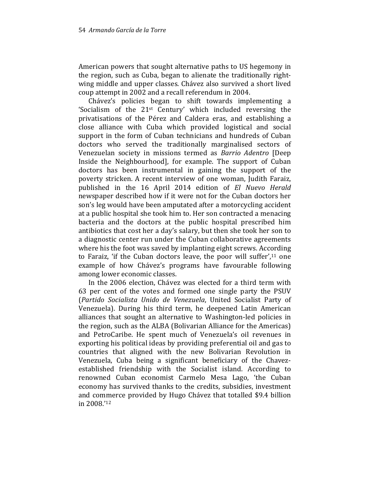American powers that sought alternative paths to US hegemony in the region, such as Cuba, began to alienate the traditionally rightwing middle and upper classes. Chávez also survived a short lived coup attempt in 2002 and a recall referendum in 2004.

Chávez's policies began to shift towards implementing a 'Socialism of the 21<sup>st</sup> Century' which included reversing the privatisations of the Pérez and Caldera eras, and establishing a close alliance with Cuba which provided logistical and social support in the form of Cuban technicians and hundreds of Cuban doctors who served the traditionally marginalised sectors of Venezuelan society in missions termed as Barrio Adentro [Deep Inside the Neighbourhood], for example. The support of Cuban doctors has been instrumental in gaining the support of the poverty stricken. A recent interview of one woman, Judith Faraiz, published in the 16 April 2014 edition of El Nuevo Herald newspaper described how if it were not for the Cuban doctors her son's leg would have been amputated after a motorcycling accident at a public hospital she took him to. Her son contracted a menacing bacteria and the doctors at the public hospital prescribed him antibiotics that cost her a day's salary, but then she took her son to a diagnostic center run under the Cuban collaborative agreements where his the foot was saved by implanting eight screws. According to Faraiz, 'if the Cuban doctors leave, the poor will suffer',<sup>11</sup> one example of how Chávez's programs have favourable following among lower economic classes.

In the 2006 election, Chávez was elected for a third term with 63 per cent of the votes and formed one single party the PSUV (Partido Socialista Unido de Venezuela, United Socialist Party of Venezuela). During his third term, he deepened Latin American alliances that sought an alternative to Washington-led policies in the region, such as the ALBA (Bolivarian Alliance for the Americas) and PetroCaribe. He spent much of Venezuela's oil revenues in exporting his political ideas by providing preferential oil and gas to countries that aligned with the new Bolivarian Revolution in Venezuela, Cuba being a significant beneficiary of the Chavezestablished friendship with the Socialist island. According to renowned Cuban economist Carmelo Mesa Lago, 'the Cuban economy has survived thanks to the credits, subsidies, investment and commerce provided by Hugo Chávez that totalled \$9.4 billion in 2008.'12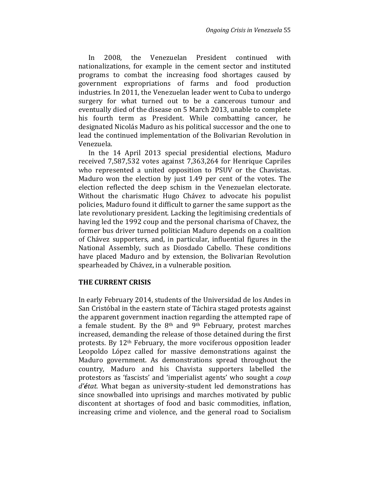In 2008, the Venezuelan President continued with nationalizations, for example in the cement sector and instituted programs to combat the increasing food shortages caused by government expropriations of farms and food production industries. In 2011, the Venezuelan leader went to Cuba to undergo surgery for what turned out to be a cancerous tumour and eventually died of the disease on 5 March 2013, unable to complete his fourth term as President. While combatting cancer, he designated Nicolás Maduro as his political successor and the one to lead the continued implementation of the Bolivarian Revolution in Venezuela.

In the 14 April 2013 special presidential elections, Maduro received 7,587,532 votes against 7,363,264 for Henrique Capriles who represented a united opposition to PSUV or the Chavistas. Maduro won the election by just 1.49 per cent of the votes. The election reflected the deep schism in the Venezuelan electorate. Without the charismatic Hugo Chávez to advocate his populist policies, Maduro found it difficult to garner the same support as the late revolutionary president. Lacking the legitimising credentials of having led the 1992 coup and the personal charisma of Chavez, the former bus driver turned politician Maduro depends on a coalition of Chávez supporters, and, in particular, influential figures in the National Assembly, such as Diosdado Cabello. These conditions have placed Maduro and by extension, the Bolivarian Revolution spearheaded by Chávez, in a vulnerable position.

### THE CURRENT CRISIS

In early February 2014, students of the Universidad de los Andes in San Cristóbal in the eastern state of Táchira staged protests against the apparent government inaction regarding the attempted rape of a female student. By the  $8<sup>th</sup>$  and  $9<sup>th</sup>$  February, protest marches increased, demanding the release of those detained during the first protests. By 12th February, the more vociferous opposition leader Leopoldo López called for massive demonstrations against the Maduro government. As demonstrations spread throughout the country, Maduro and his Chavista supporters labelled the protestors as 'fascists' and 'imperialist agents' who sought a coup d'état. What began as university-student led demonstrations has since snowballed into uprisings and marches motivated by public discontent at shortages of food and basic commodities, inflation, increasing crime and violence, and the general road to Socialism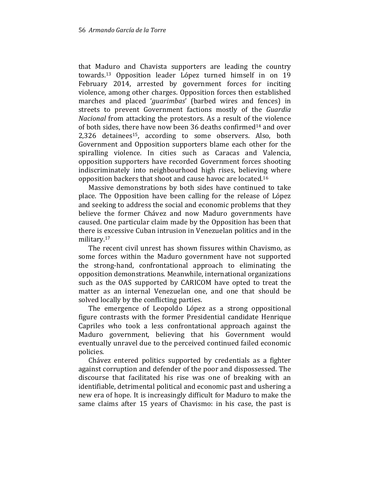that Maduro and Chavista supporters are leading the country towards.13 Opposition leader López turned himself in on 19 February 2014, arrested by government forces for inciting violence, among other charges. Opposition forces then established marches and placed 'guarimbas' (barbed wires and fences) in streets to prevent Government factions mostly of the Guardia Nacional from attacking the protestors. As a result of the violence of both sides, there have now been 36 deaths confirmed<sup>14</sup> and over 2,326 detainees15, according to some observers. Also, both Government and Opposition supporters blame each other for the spiralling violence. In cities such as Caracas and Valencia, opposition supporters have recorded Government forces shooting indiscriminately into neighbourhood high rises, believing where opposition backers that shoot and cause havoc are located.<sup>16</sup>

Massive demonstrations by both sides have continued to take place. The Opposition have been calling for the release of López and seeking to address the social and economic problems that they believe the former Chávez and now Maduro governments have caused. One particular claim made by the Opposition has been that there is excessive Cuban intrusion in Venezuelan politics and in the military.<sup>17</sup>

The recent civil unrest has shown fissures within Chavismo, as some forces within the Maduro government have not supported the strong-hand, confrontational approach to eliminating the opposition demonstrations. Meanwhile, international organizations such as the OAS supported by CARICOM have opted to treat the matter as an internal Venezuelan one, and one that should be solved locally by the conflicting parties.

The emergence of Leopoldo López as a strong oppositional figure contrasts with the former Presidential candidate Henrique Capriles who took a less confrontational approach against the Maduro government, believing that his Government would eventually unravel due to the perceived continued failed economic policies.

Chávez entered politics supported by credentials as a fighter against corruption and defender of the poor and dispossessed. The discourse that facilitated his rise was one of breaking with an identifiable, detrimental political and economic past and ushering a new era of hope. It is increasingly difficult for Maduro to make the same claims after 15 years of Chavismo: in his case, the past is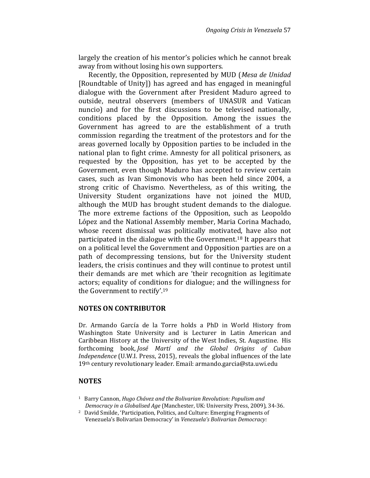largely the creation of his mentor's policies which he cannot break away from without losing his own supporters.

Recently, the Opposition, represented by MUD (Mesa de Unidad [Roundtable of Unity]) has agreed and has engaged in meaningful dialogue with the Government after President Maduro agreed to outside, neutral observers (members of UNASUR and Vatican nuncio) and for the first discussions to be televised nationally, conditions placed by the Opposition. Among the issues the Government has agreed to are the establishment of a truth commission regarding the treatment of the protestors and for the areas governed locally by Opposition parties to be included in the national plan to fight crime. Amnesty for all political prisoners, as requested by the Opposition, has yet to be accepted by the Government, even though Maduro has accepted to review certain cases, such as Ivan Simonovis who has been held since 2004, a strong critic of Chavismo. Nevertheless, as of this writing, the University Student organizations have not joined the MUD, although the MUD has brought student demands to the dialogue. The more extreme factions of the Opposition, such as Leopoldo López and the National Assembly member, Maria Corina Machado, whose recent dismissal was politically motivated, have also not participated in the dialogue with the Government.18 It appears that on a political level the Government and Opposition parties are on a path of decompressing tensions, but for the University student leaders, the crisis continues and they will continue to protest until their demands are met which are 'their recognition as legitimate actors; equality of conditions for dialogue; and the willingness for the Government to rectify'.<sup>19</sup>

### NOTES ON CONTRIBUTOR

Dr. Armando García de la Torre holds a PhD in World History from Washington State University and is Lecturer in Latin American and Caribbean History at the University of the West Indies, St. Augustine. His forthcoming book, José Martí and the Global Origins of Cuban Independence (U.W.I. Press, 2015), reveals the global influences of the late 19th century revolutionary leader. Email: armando.garcia@sta.uwi.edu

### NOTES

- <sup>1</sup> Barry Cannon, Hugo Chávez and the Bolivarian Revolution: Populism and Democracy in a Globalised Age (Manchester, UK: University Press, 2009), 34-36.
- <sup>2</sup> David Smilde, 'Participation, Politics, and Culture: Emerging Fragments of Venezuela's Bolivarian Democracy' in Venezuela's Bolivarian Democracy: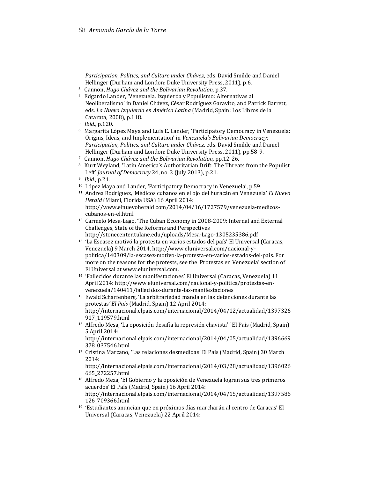Participation, Politics, and Culture under Chávez, eds. David Smilde and Daniel Hellinger (Durham and London: Duke University Press, 2011), p.6.

- <sup>3</sup> Cannon, Hugo Chávez and the Bolivarian Revolution, p.37.
- <sup>4</sup> Edgardo Lander, 'Venezuela. Izquierda y Populismo: Alternativas al Neoliberalismo' in Daniel Chávez, César Rodríguez Garavito, and Patrick Barrett, eds. La Nueva Izquierda en América Latina (Madrid, Spain: Los Libros de la Catarata, 2008), p.118.
- <sup>5</sup> Ibid., p.120.
- <sup>6</sup> Margarita López Maya and Luis E. Lander, 'Participatory Democracy in Venezuela: Origins, Ideas, and Implementation' in Venezuela's Bolivarian Democracy: Participation, Politics, and Culture under Chávez, eds. David Smilde and Daniel Hellinger (Durham and London: Duke University Press, 2011), pp.58-9.
- <sup>7</sup> Cannon, Hugo Chávez and the Bolivarian Revolution, pp.12-26.
- <sup>8</sup> Kurt Weyland, 'Latin America's Authoritarian Drift: The Threats from the Populist Left' Journal of Democracy 24, no. 3 (July 2013), p.21.
- <sup>9</sup> Ibid., p.21.
- <sup>10</sup> López Maya and Lander, 'Participatory Democracy in Venezuela', p.59.
- <sup>11</sup> Andrea Rodríguez, 'Médicos cubanos en el ojo del huracán en Venezuela' El Nuevo Herald (Miami, Florida USA) 16 April 2014: http://www.elnuevoherald.com/2014/04/16/1727579/venezuela-medicoscubanos-en-el.html
- <sup>12</sup> Carmelo Mesa-Lago, 'The Cuban Economy in 2008-2009: Internal and External Challenges, State of the Reforms and Perspectives http://stonecenter.tulane.edu/uploads/Mesa-Lago-1305235386.pdf
- <sup>13</sup> 'La Escasez motivó la protesta en varios estados del país' El Universal (Caracas, Venezuela) 9 March 2014, http://www.eluniversal.com/nacional-ypolitica/140309/la-escasez-motivo-la-protesta-en-varios-estados-del-pais. For more on the reasons for the protests, see the 'Protestas en Venezuela' section of El Universal at www.eluniversal.com.
- <sup>14</sup> 'Fallecidos durante las manifestaciones' El Universal (Caracas, Venezuela) 11 April 2014: http://www.eluniversal.com/nacional-y-politica/protestas-envenezuela/140411/fallecidos-durante-las-manifestaciones
- <sup>15</sup> Ewald Scharfenberg, 'La arbitrariedad manda en las detenciones durante las protestas' El País (Madrid, Spain) 12 April 2014: http://internacional.elpais.com/internacional/2014/04/12/actualidad/1397326 917\_119579.html
- <sup>16</sup> Alfredo Mesa, 'La oposición desafía la represión chavista' ' El País (Madrid, Spain) 5 April 2014:

http://internacional.elpais.com/internacional/2014/04/05/actualidad/1396669 378\_037546.html

<sup>17</sup> Cristina Marcano, 'Las relaciones desmedidas' El País (Madrid, Spain) 30 March 2014:

http://internacional.elpais.com/internacional/2014/03/28/actualidad/1396026 665\_272257.html

- <sup>18</sup> Alfredo Meza, 'El Gobierno y la oposición de Venezuela logran sus tres primeros acuerdos' El País (Madrid, Spain) 16 April 2014: http://internacional.elpais.com/internacional/2014/04/15/actualidad/1397586 126\_709366.html
- <sup>19</sup> 'Estudiantes anuncian que en próximos días marcharán al centro de Caracas' El Universal (Caracas, Venezuela) 22 April 2014: